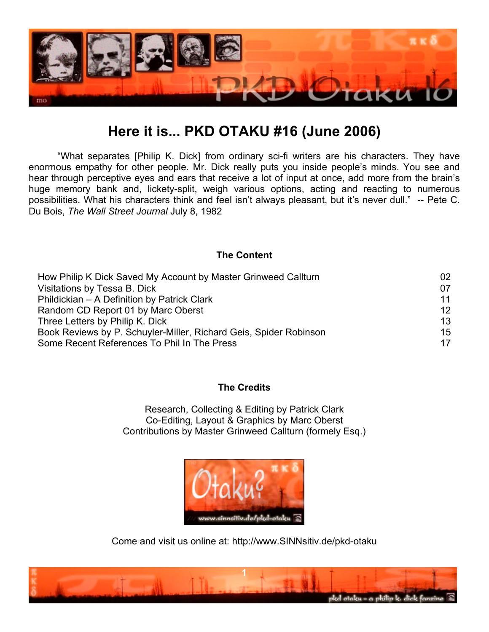

# **Here it is... PKD OTAKU #16 (June 2006)**

ìWhat separates [Philip K. Dick] from ordinary sci-fi writers are his characters. They have enormous empathy for other people. Mr. Dick really puts you inside people's minds. You see and hear through perceptive eyes and ears that receive a lot of input at once, add more from the brain's huge memory bank and, lickety-split, weigh various options, acting and reacting to numerous possibilities. What his characters think and feel isn't always pleasant, but it's never dull." -- Pete C. Du Bois, *The Wall Street Journal* July 8, 1982

#### **The Content**

| How Philip K Dick Saved My Account by Master Grinweed Callturn    | 02              |
|-------------------------------------------------------------------|-----------------|
| Visitations by Tessa B. Dick                                      | 07              |
| Phildickian - A Definition by Patrick Clark                       | 11              |
| Random CD Report 01 by Marc Oberst                                | 12 <sup>°</sup> |
| Three Letters by Philip K. Dick                                   | 13              |
| Book Reviews by P. Schuyler-Miller, Richard Geis, Spider Robinson | 15              |
| Some Recent References To Phil In The Press                       | 17              |

#### **The Credits**

Research, Collecting & Editing by Patrick Clark Co-Editing, Layout & Graphics by Marc Oberst Contributions by Master Grinweed Callturn (formely Esq.)



Come and visit us online at: http://www.SINNsitiv.de/pkd-otaku

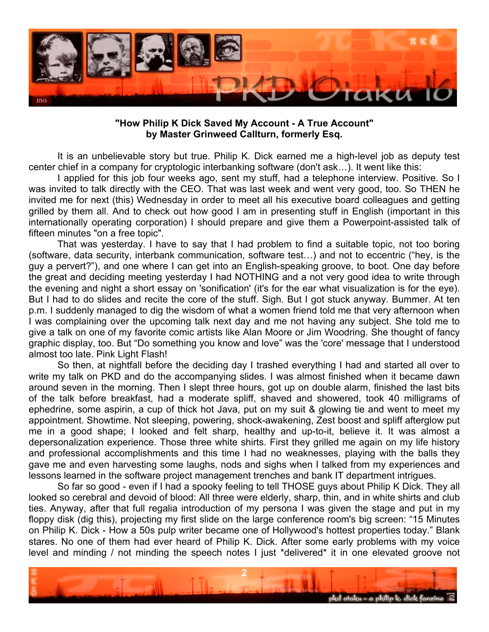

**"How Philip K Dick Saved My Account - A True Account" by Master Grinweed Callturn, formerly Esq.** 

It is an unbelievable story but true. Philip K. Dick earned me a high-level job as deputy test center chief in a company for cryptologic interbanking software (don't ask...). It went like this:

I applied for this job four weeks ago, sent my stuff, had a telephone interview. Positive. So I was invited to talk directly with the CEO. That was last week and went very good, too. So THEN he invited me for next (this) Wednesday in order to meet all his executive board colleagues and getting grilled by them all. And to check out how good I am in presenting stuff in English (important in this internationally operating corporation) I should prepare and give them a Powerpoint-assisted talk of fifteen minutes "on a free topic".

That was yesterday. I have to say that I had problem to find a suitable topic, not too boring (software, data security, interbank communication, software test...) and not to eccentric ("hey, is the guy a pervert?"), and one where I can get into an English-speaking groove, to boot. One day before the great and deciding meeting yesterday I had NOTHING and a not very good idea to write through the evening and night a short essay on 'sonification' (it's for the ear what visualization is for the eye). But I had to do slides and recite the core of the stuff. Sigh. But I got stuck anyway. Bummer. At ten p.m. I suddenly managed to dig the wisdom of what a women friend told me that very afternoon when I was complaining over the upcoming talk next day and me not having any subject. She told me to give a talk on one of my favorite comic artists like Alan Moore or Jim Woodring. She thought of fancy graphic display, too. But "Do something you know and love" was the 'core' message that I understood almost too late. Pink Light Flash!

So then, at nightfall before the deciding day I trashed everything I had and started all over to write my talk on PKD and do the accompanying slides. I was almost finished when it became dawn around seven in the morning. Then I slept three hours, got up on double alarm, finished the last bits of the talk before breakfast, had a moderate spliff, shaved and showered, took 40 milligrams of ephedrine, some aspirin, a cup of thick hot Java, put on my suit & glowing tie and went to meet my appointment. Showtime. Not sleeping, powering, shock-awakening, Zest boost and spliff afterglow put me in a good shape; I looked and felt sharp, healthy and up-to-it, believe it. It was almost a depersonalization experience. Those three white shirts. First they grilled me again on my life history and professional accomplishments and this time I had no weaknesses, playing with the balls they gave me and even harvesting some laughs, nods and sighs when I talked from my experiences and lessons learned in the software project management trenches and bank IT department intrigues.

So far so good - even if I had a spooky feeling to tell THOSE guys about Philip K Dick. They all looked so cerebral and devoid of blood: All three were elderly, sharp, thin, and in white shirts and club ties. Anyway, after that full regalia introduction of my persona I was given the stage and put in my floppy disk (dig this), projecting my first slide on the large conference room's big screen: "15 Minutes on Philip K. Dick - How a 50s pulp writer became one of Hollywood's hottest properties today." Blank stares. No one of them had ever heard of Philip K. Dick. After some early problems with my voice level and minding / not minding the speech notes I just \*delivered\* it in one elevated groove not

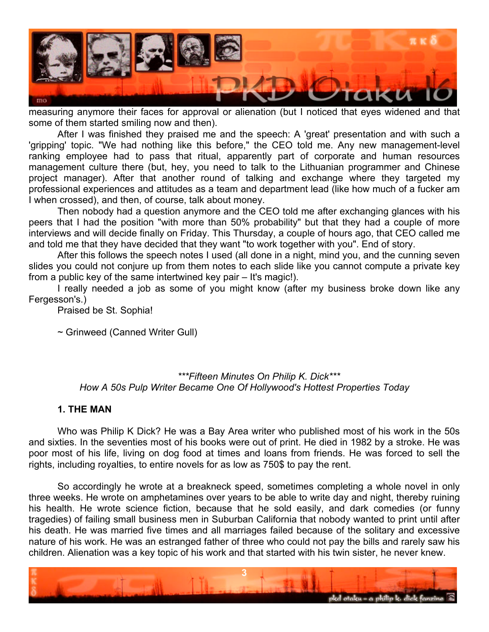

measuring anymore their faces for approval or alienation (but I noticed that eyes widened and that some of them started smiling now and then).

After I was finished they praised me and the speech: A 'great' presentation and with such a 'gripping' topic. "We had nothing like this before," the CEO told me. Any new management-level ranking employee had to pass that ritual, apparently part of corporate and human resources management culture there (but, hey, you need to talk to the Lithuanian programmer and Chinese project manager). After that another round of talking and exchange where they targeted my professional experiences and attitudes as a team and department lead (like how much of a fucker am I when crossed), and then, of course, talk about money.

Then nobody had a question anymore and the CEO told me after exchanging glances with his peers that I had the position "with more than 50% probability" but that they had a couple of more interviews and will decide finally on Friday. This Thursday, a couple of hours ago, that CEO called me and told me that they have decided that they want "to work together with you". End of story.

After this follows the speech notes I used (all done in a night, mind you, and the cunning seven slides you could not conjure up from them notes to each slide like you cannot compute a private key from a public key of the same intertwined key pair – It's magic!).

I really needed a job as some of you might know (after my business broke down like any Fergesson's.)

Praised be St. Sophia!

~ Grinweed (Canned Writer Gull)

#### *\*\*\*Fifteen Minutes On Philip K. Dick\*\*\* How A 50s Pulp Writer Became One Of Hollywood's Hottest Properties Today*

#### **1. THE MAN**

Who was Philip K Dick? He was a Bay Area writer who published most of his work in the 50s and sixties. In the seventies most of his books were out of print. He died in 1982 by a stroke. He was poor most of his life, living on dog food at times and loans from friends. He was forced to sell the rights, including royalties, to entire novels for as low as 750\$ to pay the rent.

So accordingly he wrote at a breakneck speed, sometimes completing a whole novel in only three weeks. He wrote on amphetamines over years to be able to write day and night, thereby ruining his health. He wrote science fiction, because that he sold easily, and dark comedies (or funny tragedies) of failing small business men in Suburban California that nobody wanted to print until after his death. He was married five times and all marriages failed because of the solitary and excessive nature of his work. He was an estranged father of three who could not pay the bills and rarely saw his children. Alienation was a key topic of his work and that started with his twin sister, he never knew.

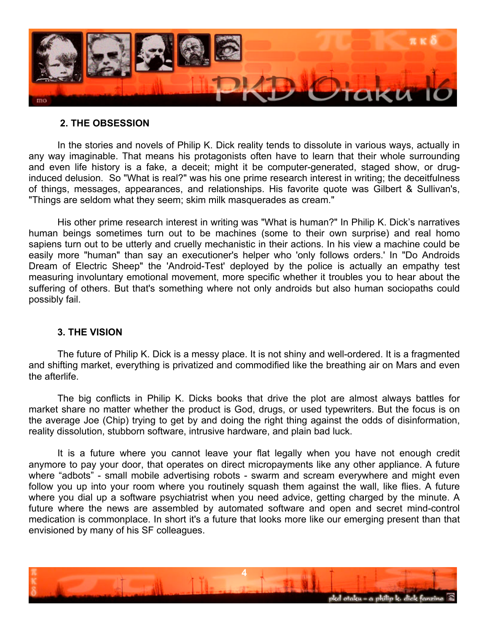

#### **2. THE OBSESSION**

In the stories and novels of Philip K. Dick reality tends to dissolute in various ways, actually in any way imaginable. That means his protagonists often have to learn that their whole surrounding and even life history is a fake, a deceit; might it be computer-generated, staged show, or druginduced delusion. So "What is real?" was his one prime research interest in writing; the deceitfulness of things, messages, appearances, and relationships. His favorite quote was Gilbert & Sullivan's, "Things are seldom what they seem; skim milk masquerades as cream."

His other prime research interest in writing was "What is human?" In Philip K. Dick's narratives human beings sometimes turn out to be machines (some to their own surprise) and real homo sapiens turn out to be utterly and cruelly mechanistic in their actions. In his view a machine could be easily more "human" than say an executioner's helper who 'only follows orders.' In "Do Androids Dream of Electric Sheep" the 'Android-Test' deployed by the police is actually an empathy test measuring involuntary emotional movement, more specific whether it troubles you to hear about the suffering of others. But that's something where not only androids but also human sociopaths could possibly fail.

#### **3. THE VISION**

The future of Philip K. Dick is a messy place. It is not shiny and well-ordered. It is a fragmented and shifting market, everything is privatized and commodified like the breathing air on Mars and even the afterlife.

The big conflicts in Philip K. Dicks books that drive the plot are almost always battles for market share no matter whether the product is God, drugs, or used typewriters. But the focus is on the average Joe (Chip) trying to get by and doing the right thing against the odds of disinformation, reality dissolution, stubborn software, intrusive hardware, and plain bad luck.

It is a future where you cannot leave your flat legally when you have not enough credit anymore to pay your door, that operates on direct micropayments like any other appliance. A future where "adbots" - small mobile advertising robots - swarm and scream everywhere and might even follow you up into your room where you routinely squash them against the wall, like flies. A future where you dial up a software psychiatrist when you need advice, getting charged by the minute. A future where the news are assembled by automated software and open and secret mind-control medication is commonplace. In short it's a future that looks more like our emerging present than that envisioned by many of his SF colleagues.

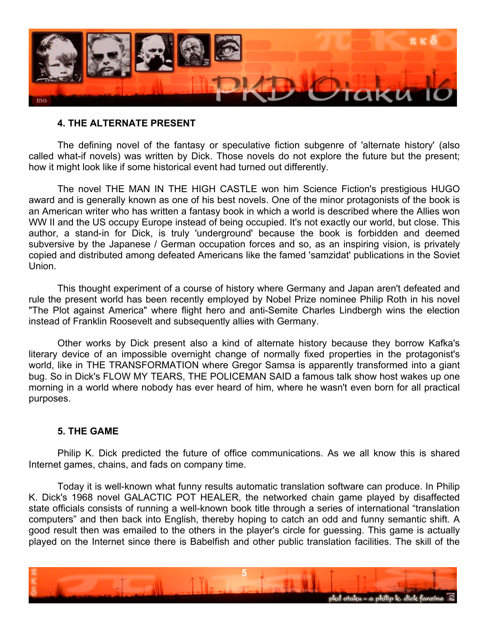

#### **4. THE ALTERNATE PRESENT**

The defining novel of the fantasy or speculative fiction subgenre of 'alternate history' (also called what-if novels) was written by Dick. Those novels do not explore the future but the present; how it might look like if some historical event had turned out differently.

The novel THE MAN IN THE HIGH CASTLE won him Science Fiction's prestigious HUGO award and is generally known as one of his best novels. One of the minor protagonists of the book is an American writer who has written a fantasy book in which a world is described where the Allies won WW II and the US occupy Europe instead of being occupied. It's not exactly our world, but close. This author, a stand-in for Dick, is truly 'underground' because the book is forbidden and deemed subversive by the Japanese / German occupation forces and so, as an inspiring vision, is privately copied and distributed among defeated Americans like the famed 'samzidat' publications in the Soviet Union.

This thought experiment of a course of history where Germany and Japan aren't defeated and rule the present world has been recently employed by Nobel Prize nominee Philip Roth in his novel "The Plot against America" where flight hero and anti-Semite Charles Lindbergh wins the election instead of Franklin Roosevelt and subsequently allies with Germany.

Other works by Dick present also a kind of alternate history because they borrow Kafka's literary device of an impossible overnight change of normally fixed properties in the protagonist's world, like in THE TRANSFORMATION where Gregor Samsa is apparently transformed into a giant bug. So in Dick's FLOW MY TEARS, THE POLICEMAN SAID a famous talk show host wakes up one morning in a world where nobody has ever heard of him, where he wasn't even born for all practical purposes.

### **5. THE GAME**

Philip K. Dick predicted the future of office communications. As we all know this is shared Internet games, chains, and fads on company time.

Today it is well-known what funny results automatic translation software can produce. In Philip K. Dick's 1968 novel GALACTIC POT HEALER, the networked chain game played by disaffected state officials consists of running a well-known book title through a series of international "translation computersî and then back into English, thereby hoping to catch an odd and funny semantic shift. A good result then was emailed to the others in the player's circle for guessing. This game is actually played on the Internet since there is Babelfish and other public translation facilities. The skill of the

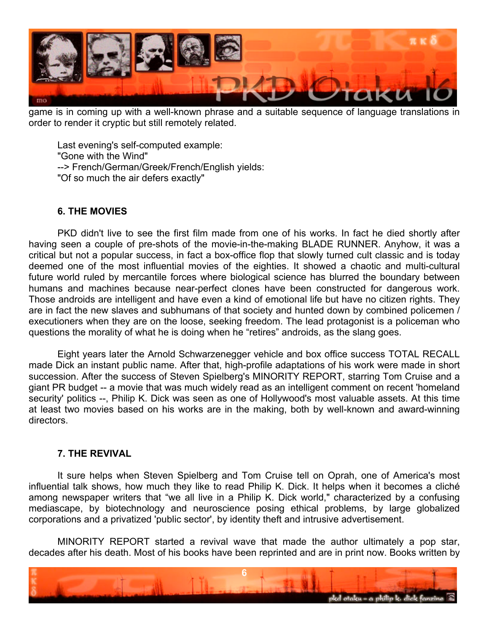

game is in coming up with a well-known phrase and a suitable sequence of language translations in order to render it cryptic but still remotely related.

Last evening's self-computed example: "Gone with the Wind" --> French/German/Greek/French/English yields: "Of so much the air defers exactly"

#### **6. THE MOVIES**

PKD didn't live to see the first film made from one of his works. In fact he died shortly after having seen a couple of pre-shots of the movie-in-the-making BLADE RUNNER. Anyhow, it was a critical but not a popular success, in fact a box-office flop that slowly turned cult classic and is today deemed one of the most influential movies of the eighties. It showed a chaotic and multi-cultural future world ruled by mercantile forces where biological science has blurred the boundary between humans and machines because near-perfect clones have been constructed for dangerous work. Those androids are intelligent and have even a kind of emotional life but have no citizen rights. They are in fact the new slaves and subhumans of that society and hunted down by combined policemen / executioners when they are on the loose, seeking freedom. The lead protagonist is a policeman who questions the morality of what he is doing when he "retires" androids, as the slang goes.

Eight years later the Arnold Schwarzenegger vehicle and box office success TOTAL RECALL made Dick an instant public name. After that, high-profile adaptations of his work were made in short succession. After the success of Steven Spielberg's MINORITY REPORT, starring Tom Cruise and a giant PR budget -- a movie that was much widely read as an intelligent comment on recent 'homeland security' politics --, Philip K. Dick was seen as one of Hollywood's most valuable assets. At this time at least two movies based on his works are in the making, both by well-known and award-winning directors.

#### **7. THE REVIVAL**

It sure helps when Steven Spielberg and Tom Cruise tell on Oprah, one of America's most influential talk shows, how much they like to read Philip K. Dick. It helps when it becomes a cliché among newspaper writers that "we all live in a Philip K. Dick world," characterized by a confusing mediascape, by biotechnology and neuroscience posing ethical problems, by large globalized corporations and a privatized 'public sector', by identity theft and intrusive advertisement.

MINORITY REPORT started a revival wave that made the author ultimately a pop star, decades after his death. Most of his books have been reprinted and are in print now. Books written by

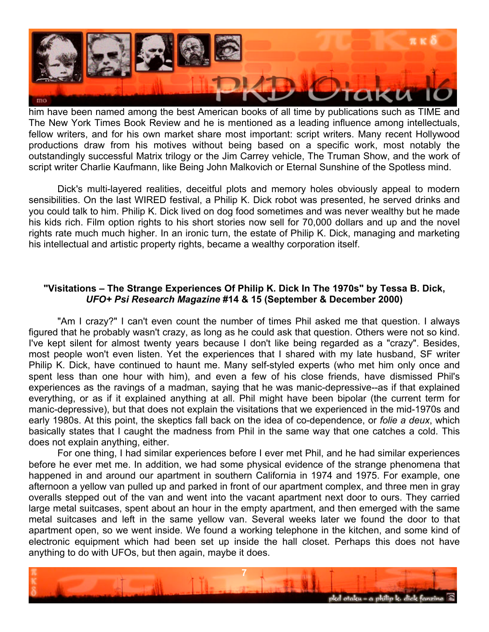

him have been named among the best American books of all time by publications such as TIME and The New York Times Book Review and he is mentioned as a leading influence among intellectuals, fellow writers, and for his own market share most important: script writers. Many recent Hollywood productions draw from his motives without being based on a specific work, most notably the outstandingly successful Matrix trilogy or the Jim Carrey vehicle, The Truman Show, and the work of script writer Charlie Kaufmann, like Being John Malkovich or Eternal Sunshine of the Spotless mind.

Dick's multi-layered realities, deceitful plots and memory holes obviously appeal to modern sensibilities. On the last WIRED festival, a Philip K. Dick robot was presented, he served drinks and you could talk to him. Philip K. Dick lived on dog food sometimes and was never wealthy but he made his kids rich. Film option rights to his short stories now sell for 70,000 dollars and up and the novel rights rate much much higher. In an ironic turn, the estate of Philip K. Dick, managing and marketing his intellectual and artistic property rights, became a wealthy corporation itself.

#### "Visitations – The Strange Experiences Of Philip K. Dick In The 1970s" by Tessa B. Dick, *UFO+ Psi Research Magazine* **#14 & 15 (September & December 2000)**

"Am I crazy?" I can't even count the number of times Phil asked me that question. I always figured that he probably wasn't crazy, as long as he could ask that question. Others were not so kind. I've kept silent for almost twenty years because I don't like being regarded as a "crazy". Besides, most people won't even listen. Yet the experiences that I shared with my late husband, SF writer Philip K. Dick, have continued to haunt me. Many self-styled experts (who met him only once and spent less than one hour with him), and even a few of his close friends, have dismissed Phil's experiences as the ravings of a madman, saying that he was manic-depressive--as if that explained everything, or as if it explained anything at all. Phil might have been bipolar (the current term for manic-depressive), but that does not explain the visitations that we experienced in the mid-1970s and early 1980s. At this point, the skeptics fall back on the idea of co-dependence, or *folie a deux*, which basically states that I caught the madness from Phil in the same way that one catches a cold. This does not explain anything, either.

For one thing, I had similar experiences before I ever met Phil, and he had similar experiences before he ever met me. In addition, we had some physical evidence of the strange phenomena that happened in and around our apartment in southern California in 1974 and 1975. For example, one afternoon a yellow van pulled up and parked in front of our apartment complex, and three men in gray overalls stepped out of the van and went into the vacant apartment next door to ours. They carried large metal suitcases, spent about an hour in the empty apartment, and then emerged with the same metal suitcases and left in the same yellow van. Several weeks later we found the door to that apartment open, so we went inside. We found a working telephone in the kitchen, and some kind of electronic equipment which had been set up inside the hall closet. Perhaps this does not have anything to do with UFOs, but then again, maybe it does.

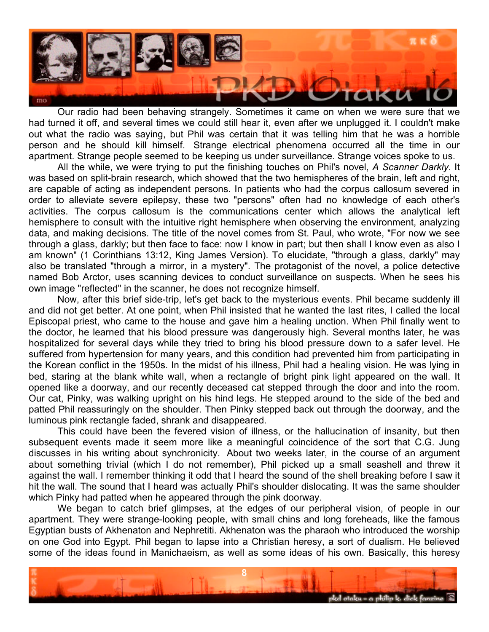

Our radio had been behaving strangely. Sometimes it came on when we were sure that we had turned it off, and several times we could still hear it, even after we unplugged it. I couldn't make out what the radio was saying, but Phil was certain that it was telling him that he was a horrible person and he should kill himself. Strange electrical phenomena occurred all the time in our apartment. Strange people seemed to be keeping us under surveillance. Strange voices spoke to us.

All the while, we were trying to put the finishing touches on Phil's novel, *A Scanner Darkly*. It was based on split-brain research, which showed that the two hemispheres of the brain, left and right, are capable of acting as independent persons. In patients who had the corpus callosum severed in order to alleviate severe epilepsy, these two "persons" often had no knowledge of each other's activities. The corpus callosum is the communications center which allows the analytical left hemisphere to consult with the intuitive right hemisphere when observing the environment, analyzing data, and making decisions. The title of the novel comes from St. Paul, who wrote, "For now we see through a glass, darkly; but then face to face: now I know in part; but then shall I know even as also I am known" (1 Corinthians 13:12, King James Version). To elucidate, "through a glass, darkly" may also be translated "through a mirror, in a mystery". The protagonist of the novel, a police detective named Bob Arctor, uses scanning devices to conduct surveillance on suspects. When he sees his own image "reflected" in the scanner, he does not recognize himself.

Now, after this brief side-trip, let's get back to the mysterious events. Phil became suddenly ill and did not get better. At one point, when Phil insisted that he wanted the last rites, I called the local Episcopal priest, who came to the house and gave him a healing unction. When Phil finally went to the doctor, he learned that his blood pressure was dangerously high. Several months later, he was hospitalized for several days while they tried to bring his blood pressure down to a safer level. He suffered from hypertension for many years, and this condition had prevented him from participating in the Korean conflict in the 1950s. In the midst of his illness, Phil had a healing vision. He was lying in bed, staring at the blank white wall, when a rectangle of bright pink light appeared on the wall. It opened like a doorway, and our recently deceased cat stepped through the door and into the room. Our cat, Pinky, was walking upright on his hind legs. He stepped around to the side of the bed and patted Phil reassuringly on the shoulder. Then Pinky stepped back out through the doorway, and the luminous pink rectangle faded, shrank and disappeared.

This could have been the fevered vision of illness, or the hallucination of insanity, but then subsequent events made it seem more like a meaningful coincidence of the sort that C.G. Jung discusses in his writing about synchronicity. About two weeks later, in the course of an argument about something trivial (which I do not remember), Phil picked up a small seashell and threw it against the wall. I remember thinking it odd that I heard the sound of the shell breaking before I saw it hit the wall. The sound that I heard was actually Phil's shoulder dislocating. It was the same shoulder which Pinky had patted when he appeared through the pink doorway.

We began to catch brief glimpses, at the edges of our peripheral vision, of people in our apartment. They were strange-looking people, with small chins and long foreheads, like the famous Egyptian busts of Akhenaton and Nephretiti. Akhenaton was the pharaoh who introduced the worship on one God into Egypt. Phil began to lapse into a Christian heresy, a sort of dualism. He believed some of the ideas found in Manichaeism, as well as some ideas of his own. Basically, this heresy

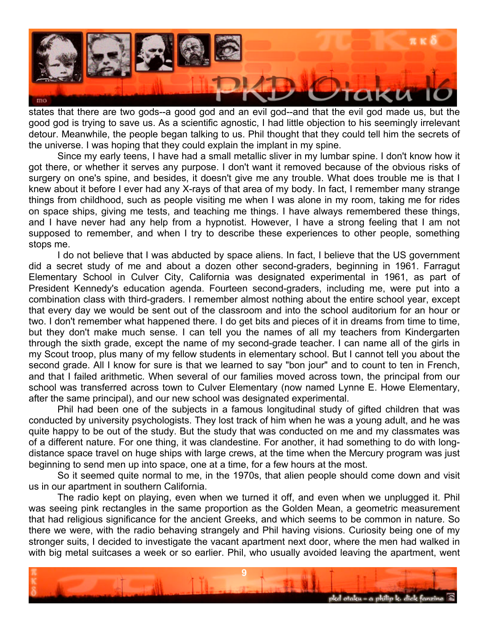

states that there are two gods--a good god and an evil god--and that the evil god made us, but the good god is trying to save us. As a scientific agnostic, I had little objection to his seemingly irrelevant detour. Meanwhile, the people began talking to us. Phil thought that they could tell him the secrets of the universe. I was hoping that they could explain the implant in my spine.

Since my early teens, I have had a small metallic sliver in my lumbar spine. I don't know how it got there, or whether it serves any purpose. I don't want it removed because of the obvious risks of surgery on one's spine, and besides, it doesn't give me any trouble. What does trouble me is that I knew about it before I ever had any X-rays of that area of my body. In fact, I remember many strange things from childhood, such as people visiting me when I was alone in my room, taking me for rides on space ships, giving me tests, and teaching me things. I have always remembered these things, and I have never had any help from a hypnotist. However, I have a strong feeling that I am not supposed to remember, and when I try to describe these experiences to other people, something stops me.

I do not believe that I was abducted by space aliens. In fact, I believe that the US government did a secret study of me and about a dozen other second-graders, beginning in 1961. Farragut Elementary School in Culver City, California was designated experimental in 1961, as part of President Kennedy's education agenda. Fourteen second-graders, including me, were put into a combination class with third-graders. I remember almost nothing about the entire school year, except that every day we would be sent out of the classroom and into the school auditorium for an hour or two. I don't remember what happened there. I do get bits and pieces of it in dreams from time to time, but they don't make much sense. I can tell you the names of all my teachers from Kindergarten through the sixth grade, except the name of my second-grade teacher. I can name all of the girls in my Scout troop, plus many of my fellow students in elementary school. But I cannot tell you about the second grade. All I know for sure is that we learned to say "bon jour" and to count to ten in French, and that I failed arithmetic. When several of our families moved across town, the principal from our school was transferred across town to Culver Elementary (now named Lynne E. Howe Elementary, after the same principal), and our new school was designated experimental.

Phil had been one of the subjects in a famous longitudinal study of gifted children that was conducted by university psychologists. They lost track of him when he was a young adult, and he was quite happy to be out of the study. But the study that was conducted on me and my classmates was of a different nature. For one thing, it was clandestine. For another, it had something to do with longdistance space travel on huge ships with large crews, at the time when the Mercury program was just beginning to send men up into space, one at a time, for a few hours at the most.

So it seemed quite normal to me, in the 1970s, that alien people should come down and visit us in our apartment in southern California.

The radio kept on playing, even when we turned it off, and even when we unplugged it. Phil was seeing pink rectangles in the same proportion as the Golden Mean, a geometric measurement that had religious significance for the ancient Greeks, and which seems to be common in nature. So there we were, with the radio behaving strangely and Phil having visions. Curiosity being one of my stronger suits, I decided to investigate the vacant apartment next door, where the men had walked in with big metal suitcases a week or so earlier. Phil, who usually avoided leaving the apartment, went

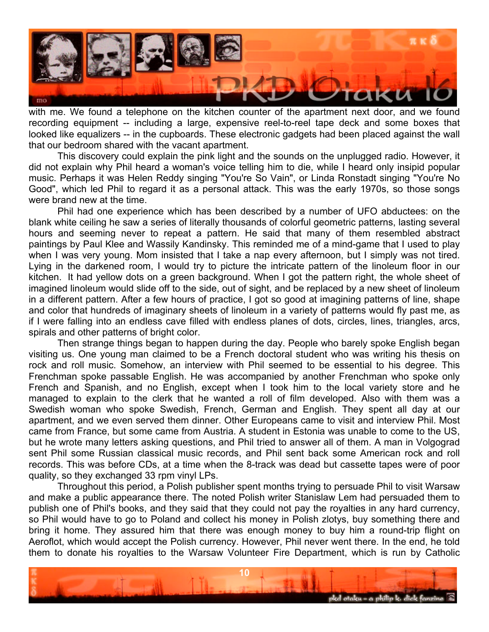

with me. We found a telephone on the kitchen counter of the apartment next door, and we found recording equipment -- including a large, expensive reel-to-reel tape deck and some boxes that looked like equalizers -- in the cupboards. These electronic gadgets had been placed against the wall that our bedroom shared with the vacant apartment.

This discovery could explain the pink light and the sounds on the unplugged radio. However, it did not explain why Phil heard a woman's voice telling him to die, while I heard only insipid popular music. Perhaps it was Helen Reddy singing "You're So Vain", or Linda Ronstadt singing "You're No Good", which led Phil to regard it as a personal attack. This was the early 1970s, so those songs were brand new at the time.

Phil had one experience which has been described by a number of UFO abductees: on the blank white ceiling he saw a series of literally thousands of colorful geometric patterns, lasting several hours and seeming never to repeat a pattern. He said that many of them resembled abstract paintings by Paul Klee and Wassily Kandinsky. This reminded me of a mind-game that I used to play when I was very young. Mom insisted that I take a nap every afternoon, but I simply was not tired. Lying in the darkened room, I would try to picture the intricate pattern of the linoleum floor in our kitchen. It had yellow dots on a green background. When I got the pattern right, the whole sheet of imagined linoleum would slide off to the side, out of sight, and be replaced by a new sheet of linoleum in a different pattern. After a few hours of practice, I got so good at imagining patterns of line, shape and color that hundreds of imaginary sheets of linoleum in a variety of patterns would fly past me, as if I were falling into an endless cave filled with endless planes of dots, circles, lines, triangles, arcs, spirals and other patterns of bright color.

Then strange things began to happen during the day. People who barely spoke English began visiting us. One young man claimed to be a French doctoral student who was writing his thesis on rock and roll music. Somehow, an interview with Phil seemed to be essential to his degree. This Frenchman spoke passable English. He was accompanied by another Frenchman who spoke only French and Spanish, and no English, except when I took him to the local variety store and he managed to explain to the clerk that he wanted a roll of film developed. Also with them was a Swedish woman who spoke Swedish, French, German and English. They spent all day at our apartment, and we even served them dinner. Other Europeans came to visit and interview Phil. Most came from France, but some came from Austria. A student in Estonia was unable to come to the US, but he wrote many letters asking questions, and Phil tried to answer all of them. A man in Volgograd sent Phil some Russian classical music records, and Phil sent back some American rock and roll records. This was before CDs, at a time when the 8-track was dead but cassette tapes were of poor quality, so they exchanged 33 rpm vinyl LPs.

Throughout this period, a Polish publisher spent months trying to persuade Phil to visit Warsaw and make a public appearance there. The noted Polish writer Stanislaw Lem had persuaded them to publish one of Phil's books, and they said that they could not pay the royalties in any hard currency, so Phil would have to go to Poland and collect his money in Polish zlotys, buy something there and bring it home. They assured him that there was enough money to buy him a round-trip flight on Aeroflot, which would accept the Polish currency. However, Phil never went there. In the end, he told them to donate his royalties to the Warsaw Volunteer Fire Department, which is run by Catholic

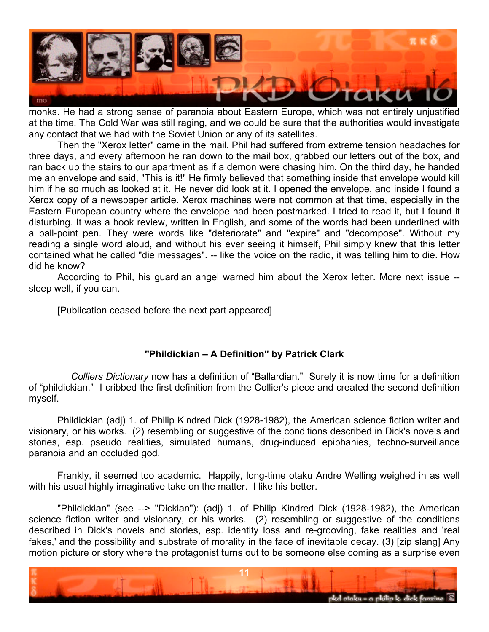

monks. He had a strong sense of paranoia about Eastern Europe, which was not entirely unjustified at the time. The Cold War was still raging, and we could be sure that the authorities would investigate any contact that we had with the Soviet Union or any of its satellites.

Then the "Xerox letter" came in the mail. Phil had suffered from extreme tension headaches for three days, and every afternoon he ran down to the mail box, grabbed our letters out of the box, and ran back up the stairs to our apartment as if a demon were chasing him. On the third day, he handed me an envelope and said, "This is it!" He firmly believed that something inside that envelope would kill him if he so much as looked at it. He never did look at it. I opened the envelope, and inside I found a Xerox copy of a newspaper article. Xerox machines were not common at that time, especially in the Eastern European country where the envelope had been postmarked. I tried to read it, but I found it disturbing. It was a book review, written in English, and some of the words had been underlined with a ball-point pen. They were words like "deteriorate" and "expire" and "decompose". Without my reading a single word aloud, and without his ever seeing it himself, Phil simply knew that this letter contained what he called "die messages". -- like the voice on the radio, it was telling him to die. How did he know?

According to Phil, his guardian angel warned him about the Xerox letter. More next issue - sleep well, if you can.

[Publication ceased before the next part appeared]

#### **"Phildickian – A Definition" by Patrick Clark**

Colliers Dictionary now has a definition of "Ballardian." Surely it is now time for a definition of "phildickian." I cribbed the first definition from the Collier's piece and created the second definition myself.

Phildickian (adj) 1. of Philip Kindred Dick (1928-1982), the American science fiction writer and visionary, or his works. (2) resembling or suggestive of the conditions described in Dick's novels and stories, esp. pseudo realities, simulated humans, drug-induced epiphanies, techno-surveillance paranoia and an occluded god.

Frankly, it seemed too academic. Happily, long-time otaku Andre Welling weighed in as well with his usual highly imaginative take on the matter. I like his better.

"Phildickian" (see --> "Dickian"): (adj) 1. of Philip Kindred Dick (1928-1982), the American science fiction writer and visionary, or his works. (2) resembling or suggestive of the conditions described in Dick's novels and stories, esp. identity loss and re-grooving, fake realities and 'real fakes,' and the possibility and substrate of morality in the face of inevitable decay. (3) [zip slang] Any motion picture or story where the protagonist turns out to be someone else coming as a surprise even

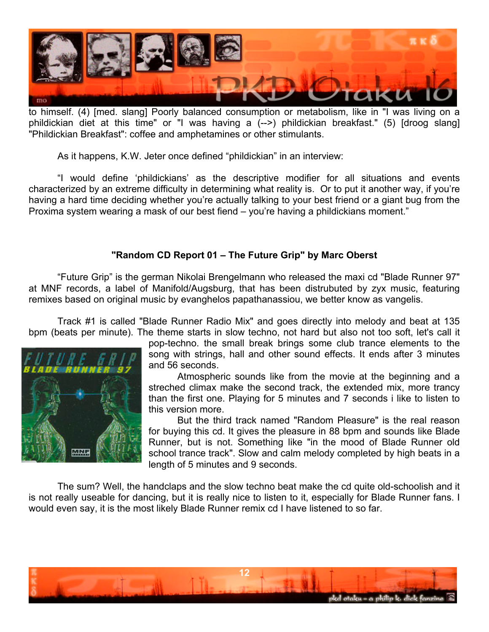

to himself. (4) [med. slang] Poorly balanced consumption or metabolism, like in "I was living on a phildickian diet at this time" or "I was having a (-->) phildickian breakfast." (5) [droog slang] "Phildickian Breakfast": coffee and amphetamines or other stimulants.

As it happens, K.W. Jeter once defined "phildickian" in an interview:

ìI would define ëphildickiansí as the descriptive modifier for all situations and events characterized by an extreme difficulty in determining what reality is. Or to put it another way, if youíre having a hard time deciding whether you're actually talking to your best friend or a giant bug from the Proxima system wearing a mask of our best fiend – you're having a phildickians moment."

## **"Random CD Report 01 – The Future Grip" by Marc Oberst**

ìFuture Gripî is the german Nikolai Brengelmann who released the maxi cd "Blade Runner 97" at MNF records, a label of Manifold/Augsburg, that has been distrubuted by zyx music, featuring remixes based on original music by evanghelos papathanassiou, we better know as vangelis.

Track #1 is called "Blade Runner Radio Mix" and goes directly into melody and beat at 135 bpm (beats per minute). The theme starts in slow techno, not hard but also not too soft, let's call it



pop-techno. the small break brings some club trance elements to the song with strings, hall and other sound effects. It ends after 3 minutes and 56 seconds.

Atmospheric sounds like from the movie at the beginning and a streched climax make the second track, the extended mix, more trancy than the first one. Playing for 5 minutes and 7 seconds i like to listen to this version more.

But the third track named "Random Pleasure" is the real reason for buying this cd. It gives the pleasure in 88 bpm and sounds like Blade Runner, but is not. Something like "in the mood of Blade Runner old school trance track". Slow and calm melody completed by high beats in a length of 5 minutes and 9 seconds.

The sum? Well, the handclaps and the slow techno beat make the cd quite old-schoolish and it is not really useable for dancing, but it is really nice to listen to it, especially for Blade Runner fans. I would even say, it is the most likely Blade Runner remix cd I have listened to so far.

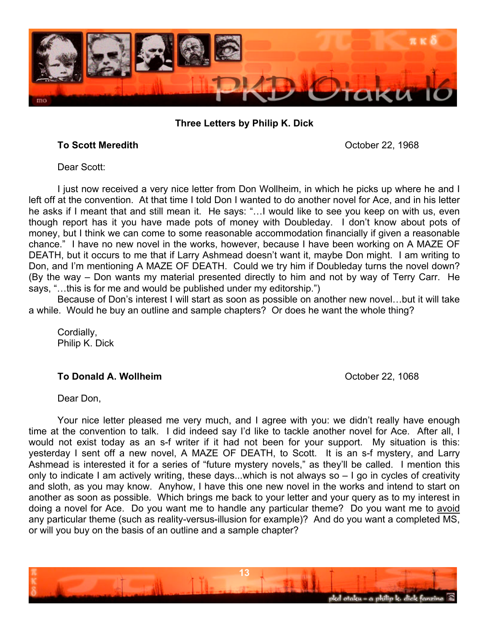

**Three Letters by Philip K. Dick** 

### **To Scott Meredith** October 22, 1968

Dear Scott:

I just now received a very nice letter from Don Wollheim, in which he picks up where he and I left off at the convention. At that time I told Don I wanted to do another novel for Ace, and in his letter he asks if I meant that and still mean it. He says: "...I would like to see you keep on with us, even though report has it you have made pots of money with Doubleday. I donít know about pots of money, but I think we can come to some reasonable accommodation financially if given a reasonable chance." I have no new novel in the works, however, because I have been working on A MAZE OF DEATH, but it occurs to me that if Larry Ashmead doesn't want it, maybe Don might. I am writing to Don, and Iím mentioning A MAZE OF DEATH. Could we try him if Doubleday turns the novel down? (By the way – Don wants my material presented directly to him and not by way of Terry Carr. He says, "...this is for me and would be published under my editorship.")

Because of Don's interest I will start as soon as possible on another new novel...but it will take a while. Would he buy an outline and sample chapters? Or does he want the whole thing?

Cordially, Philip K. Dick

#### **To Donald A. Wollheim Constanting Constanting Constanting Constanting Constanting Constanting Constanting Constanting Constanting Constanting Constanting Constanting Constanting Constanting Constanting Constanting Const**

Dear Don,

Your nice letter pleased me very much, and I agree with you: we didnít really have enough time at the convention to talk. I did indeed say I'd like to tackle another novel for Ace. After all, I would not exist today as an s-f writer if it had not been for your support. My situation is this: yesterday I sent off a new novel, A MAZE OF DEATH, to Scott. It is an s-f mystery, and Larry Ashmead is interested it for a series of "future mystery novels," as they'll be called. I mention this only to indicate I am actively writing, these days...which is not always so  $-1$  go in cycles of creativity and sloth, as you may know. Anyhow, I have this one new novel in the works and intend to start on another as soon as possible. Which brings me back to your letter and your query as to my interest in doing a novel for Ace. Do you want me to handle any particular theme? Do you want me to avoid any particular theme (such as reality-versus-illusion for example)? And do you want a completed MS, or will you buy on the basis of an outline and a sample chapter?

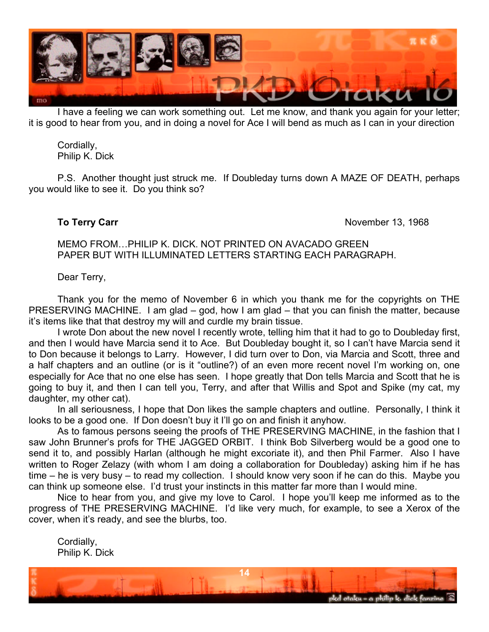

I have a feeling we can work something out. Let me know, and thank you again for your letter; it is good to hear from you, and in doing a novel for Ace I will bend as much as I can in your direction

Cordially, Philip K. Dick

P.S. Another thought just struck me. If Doubleday turns down A MAZE OF DEATH, perhaps you would like to see it. Do you think so?

**To Terry Carr Carr Carr <b>Carr Carr Carr Carr Carr Carr Carr Carr Carr Carr Carr Carr Carr Carr Carr Carr Carr Carr Carr Carr Carr Carr Carr Carr Carr Carr Carr Car** 

MEMO FROM... PHILIP K. DICK. NOT PRINTED ON AVACADO GREEN PAPER BUT WITH ILLUMINATED LETTERS STARTING EACH PARAGRAPH.

Dear Terry,

Thank you for the memo of November 6 in which you thank me for the copyrights on THE PRESERVING MACHINE. I am glad  $-$  god, how I am glad  $-$  that you can finish the matter, because it's items like that that destroy my will and curdle my brain tissue.

I wrote Don about the new novel I recently wrote, telling him that it had to go to Doubleday first, and then I would have Marcia send it to Ace. But Doubleday bought it, so I can't have Marcia send it to Don because it belongs to Larry. However, I did turn over to Don, via Marcia and Scott, three and a half chapters and an outline (or is it "outline?) of an even more recent novel I'm working on, one especially for Ace that no one else has seen. I hope greatly that Don tells Marcia and Scott that he is going to buy it, and then I can tell you, Terry, and after that Willis and Spot and Spike (my cat, my daughter, my other cat).

In all seriousness, I hope that Don likes the sample chapters and outline. Personally, I think it looks to be a good one. If Don doesnít buy it Iíll go on and finish it anyhow.

As to famous persons seeing the proofs of THE PRESERVING MACHINE, in the fashion that I saw John Brunner's profs for THE JAGGED ORBIT. I think Bob Silverberg would be a good one to send it to, and possibly Harlan (although he might excoriate it), and then Phil Farmer. Also I have written to Roger Zelazy (with whom I am doing a collaboration for Doubleday) asking him if he has time  $-$  he is very busy  $-$  to read my collection. I should know very soon if he can do this. Maybe you can think up someone else. Iíd trust your instincts in this matter far more than I would mine.

Nice to hear from you, and give my love to Carol. I hope you'll keep me informed as to the progress of THE PRESERVING MACHINE. Iíd like very much, for example, to see a Xerox of the cover, when it's ready, and see the blurbs, too.

Cordially, Philip K. Dick

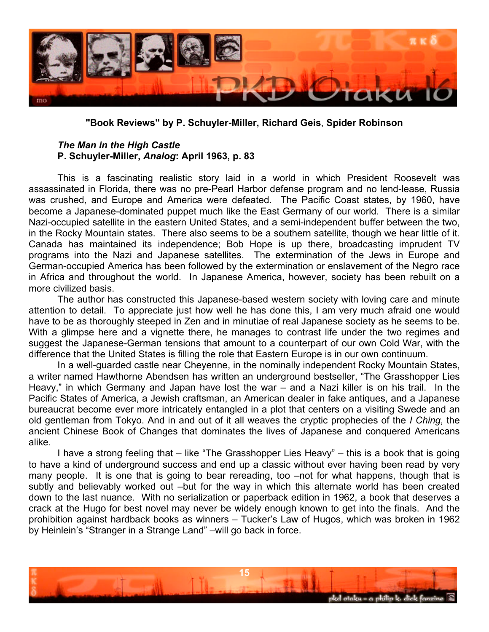

**"Book Reviews" by P. Schuyler-Miller, Richard Geis**, **Spider Robinson** 

#### *The Man in the High Castle*  **P. Schuyler-Miller,** *Analog***: April 1963, p. 83**

This is a fascinating realistic story laid in a world in which President Roosevelt was assassinated in Florida, there was no pre-Pearl Harbor defense program and no lend-lease, Russia was crushed, and Europe and America were defeated. The Pacific Coast states, by 1960, have become a Japanese-dominated puppet much like the East Germany of our world. There is a similar Nazi-occupied satellite in the eastern United States, and a semi-independent buffer between the two, in the Rocky Mountain states. There also seems to be a southern satellite, though we hear little of it. Canada has maintained its independence; Bob Hope is up there, broadcasting imprudent TV programs into the Nazi and Japanese satellites. The extermination of the Jews in Europe and German-occupied America has been followed by the extermination or enslavement of the Negro race in Africa and throughout the world. In Japanese America, however, society has been rebuilt on a more civilized basis.

The author has constructed this Japanese-based western society with loving care and minute attention to detail. To appreciate just how well he has done this, I am very much afraid one would have to be as thoroughly steeped in Zen and in minutiae of real Japanese society as he seems to be. With a glimpse here and a vignette there, he manages to contrast life under the two regimes and suggest the Japanese-German tensions that amount to a counterpart of our own Cold War, with the difference that the United States is filling the role that Eastern Europe is in our own continuum.

In a well-guarded castle near Cheyenne, in the nominally independent Rocky Mountain States, a writer named Hawthorne Abendsen has written an underground bestseller, "The Grasshopper Lies Heavy," in which Germany and Japan have lost the war  $-$  and a Nazi killer is on his trail. In the Pacific States of America, a Jewish craftsman, an American dealer in fake antiques, and a Japanese bureaucrat become ever more intricately entangled in a plot that centers on a visiting Swede and an old gentleman from Tokyo. And in and out of it all weaves the cryptic prophecies of the *I Ching*, the ancient Chinese Book of Changes that dominates the lives of Japanese and conquered Americans alike.

I have a strong feeling that  $-$  like "The Grasshopper Lies Heavy"  $-$  this is a book that is going to have a kind of underground success and end up a classic without ever having been read by very many people. It is one that is going to bear rereading, too –not for what happens, though that is subtly and believably worked out -but for the way in which this alternate world has been created down to the last nuance. With no serialization or paperback edition in 1962, a book that deserves a crack at the Hugo for best novel may never be widely enough known to get into the finals. And the prohibition against hardback books as winners – Tucker's Law of Hugos, which was broken in 1962 by Heinlein's "Stranger in a Strange Land" - will go back in force.

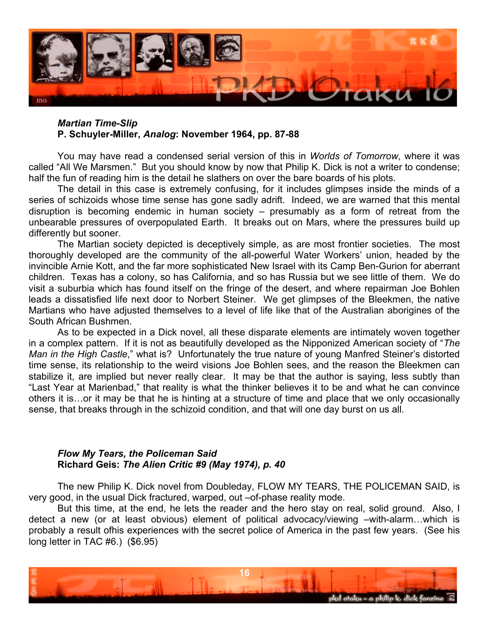

#### *Martian Time-Slip*  **P. Schuyler-Miller,** *Analog***: November 1964, pp. 87-88**

You may have read a condensed serial version of this in *Worlds of Tomorrow*, where it was called "All We Marsmen." But you should know by now that Philip K. Dick is not a writer to condense; half the fun of reading him is the detail he slathers on over the bare boards of his plots.

The detail in this case is extremely confusing, for it includes glimpses inside the minds of a series of schizoids whose time sense has gone sadly adrift. Indeed, we are warned that this mental disruption is becoming endemic in human society  $-$  presumably as a form of retreat from the unbearable pressures of overpopulated Earth. It breaks out on Mars, where the pressures build up differently but sooner.

The Martian society depicted is deceptively simple, as are most frontier societies. The most thoroughly developed are the community of the all-powerful Water Workers' union, headed by the invincible Arnie Kott, and the far more sophisticated New Israel with its Camp Ben-Gurion for aberrant children. Texas has a colony, so has California, and so has Russia but we see little of them. We do visit a suburbia which has found itself on the fringe of the desert, and where repairman Joe Bohlen leads a dissatisfied life next door to Norbert Steiner. We get glimpses of the Bleekmen, the native Martians who have adjusted themselves to a level of life like that of the Australian aborigines of the South African Bushmen.

As to be expected in a Dick novel, all these disparate elements are intimately woven together in a complex pattern. If it is not as beautifully developed as the Nipponized American society of ì*The Man in the High Castle*," what is? Unfortunately the true nature of young Manfred Steiner's distorted time sense, its relationship to the weird visions Joe Bohlen sees, and the reason the Bleekmen can stabilize it, are implied but never really clear. It may be that the author is saying, less subtly than "Last Year at Marienbad," that reality is what the thinker believes it to be and what he can convince others it is... or it may be that he is hinting at a structure of time and place that we only occasionally sense, that breaks through in the schizoid condition, and that will one day burst on us all.

#### *Flow My Tears, the Policeman Said*  **Richard Geis:** *The Alien Critic #9 (May 1974), p. 40*

The new Philip K. Dick novel from Doubleday, FLOW MY TEARS, THE POLICEMAN SAID, is very good, in the usual Dick fractured, warped, out -of-phase reality mode.

But this time, at the end, he lets the reader and the hero stay on real, solid ground. Also, I detect a new (or at least obvious) element of political advocacy/viewing  $-with-alarm...which$  is probably a result ofhis experiences with the secret police of America in the past few years. (See his long letter in TAC #6.) (\$6.95)

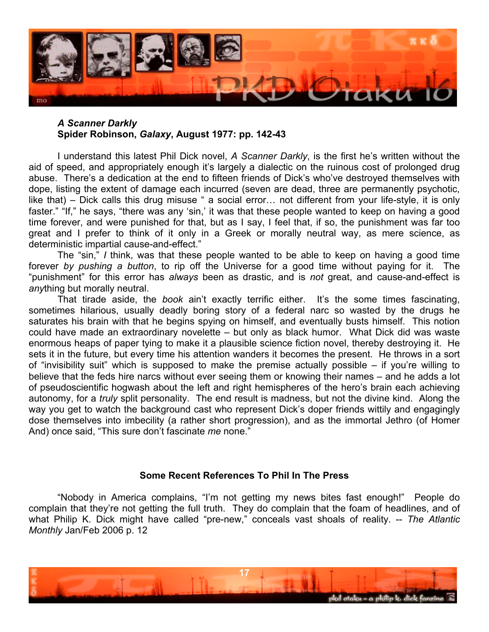

#### *A Scanner Darkly*  **Spider Robinson,** *Galaxy***, August 1977: pp. 142-43**

I understand this latest Phil Dick novel, *A Scanner Darkly*, is the first he's written without the aid of speed, and appropriately enough it's largely a dialectic on the ruinous cost of prolonged drug abuse. There's a dedication at the end to fifteen friends of Dick's who've destroyed themselves with dope, listing the extent of damage each incurred (seven are dead, three are permanently psychotic, like that) – Dick calls this drug misuse " a social error... not different from your life-style, it is only faster." "If," he says, "there was any 'sin,' it was that these people wanted to keep on having a good time forever, and were punished for that, but as I say, I feel that, if so, the punishment was far too great and I prefer to think of it only in a Greek or morally neutral way, as mere science, as deterministic impartial cause-and-effect."

The "sin," *I* think, was that these people wanted to be able to keep on having a good time forever *by pushing a button*, to rip off the Universe for a good time without paying for it. The ìpunishmentî for this error has *always* been as drastic, and is *not* great, and cause-and-effect is *any*thing but morally neutral.

That tirade aside, the *book* ainít exactly terrific either. Itís the some times fascinating, sometimes hilarious, usually deadly boring story of a federal narc so wasted by the drugs he saturates his brain with that he begins spying on himself, and eventually busts himself. This notion could have made an extraordinary novelette – but only as black humor. What Dick did was waste enormous heaps of paper tying to make it a plausible science fiction novel, thereby destroying it. He sets it in the future, but every time his attention wanders it becomes the present. He throws in a sort of "invisibility suit" which is supposed to make the premise actually possible  $-$  if you're willing to believe that the feds hire narcs without ever seeing them or knowing their names - and he adds a lot of pseudoscientific hogwash about the left and right hemispheres of the hero's brain each achieving autonomy, for a *truly* split personality. The end result is madness, but not the divine kind. Along the way you get to watch the background cast who represent Dick's doper friends wittily and engagingly dose themselves into imbecility (a rather short progression), and as the immortal Jethro (of Homer And) once said, "This sure don't fascinate *me* none."

#### **Some Recent References To Phil In The Press**

"Nobody in America complains, "I'm not getting my news bites fast enough!" People do complain that theyíre not getting the full truth. They do complain that the foam of headlines, and of what Philip K. Dick might have called "pre-new," conceals vast shoals of reality. -- The Atlantic *Monthly* Jan/Feb 2006 p. 12